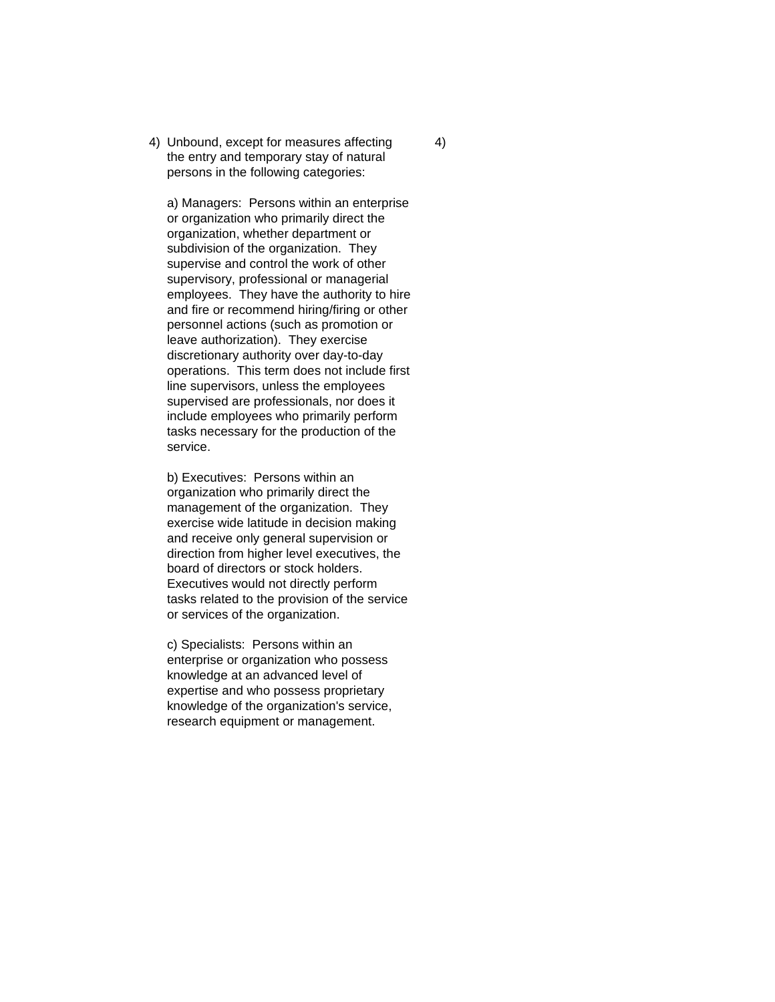4) Unbound, except for measures affecting 4) the entry and temporary stay of natural persons in the following categories:

a) Managers: Persons within an enterprise or organization who primarily direct the organization, whether department or subdivision of the organization. They supervise and control the work of other supervisory, professional or managerial employees. They have the authority to hire and fire or recommend hiring/firing or other personnel actions (such as promotion or leave authorization). They exercise discretionary authority over day-to-day operations. This term does not include first line supervisors, unless the employees supervised are professionals, nor does it include employees who primarily perform tasks necessary for the production of the service.

b) Executives: Persons within an organization who primarily direct the management of the organization. They exercise wide latitude in decision making and receive only general supervision or direction from higher level executives, the board of directors or stock holders. Executives would not directly perform tasks related to the provision of the service or services of the organization.

c) Specialists: Persons within an enterprise or organization who possess knowledge at an advanced level of expertise and who possess proprietary knowledge of the organization's service, research equipment or management.